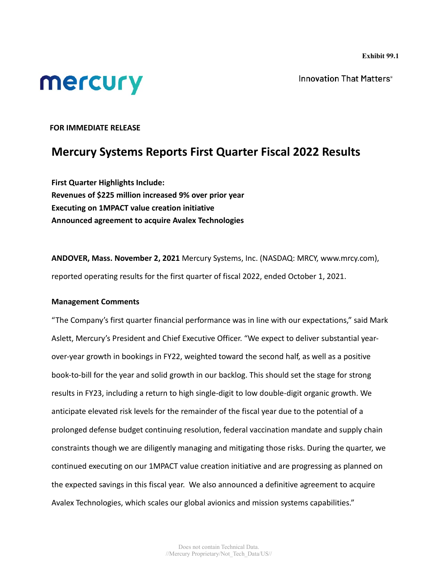**Exhibit 99.1**

**Innovation That Matters<sup>®</sup>** 

# mercury

**FOR IMMEDIATE RELEASE**

# **Mercury Systems Reports First Quarter Fiscal 2022 Results**

**First Quarter Highlights Include: Revenues of \$225 million increased 9% over prior year Executing on 1MPACT value creation initiative Announced agreement to acquire Avalex Technologies**

**ANDOVER, Mass. November 2, 2021** Mercury Systems, Inc. (NASDAQ: MRCY, www.mrcy.com), reported operating results for the first quarter of fiscal 2022, ended October 1, 2021.

## **Management Comments**

"The Company's first quarter financial performance was in line with our expectations," said Mark Aslett, Mercury's President and Chief Executive Officer. "We expect to deliver substantial yearover-year growth in bookings in FY22, weighted toward the second half, as well as a positive book-to-bill for the year and solid growth in our backlog. This should set the stage for strong results in FY23, including a return to high single-digit to low double-digit organic growth. We anticipate elevated risk levels for the remainder of the fiscal year due to the potential of a prolonged defense budget continuing resolution, federal vaccination mandate and supply chain constraints though we are diligently managing and mitigating those risks. During the quarter, we continued executing on our 1MPACT value creation initiative and are progressing as planned on the expected savings in this fiscal year. We also announced a definitive agreement to acquire Avalex Technologies, which scales our global avionics and mission systems capabilities."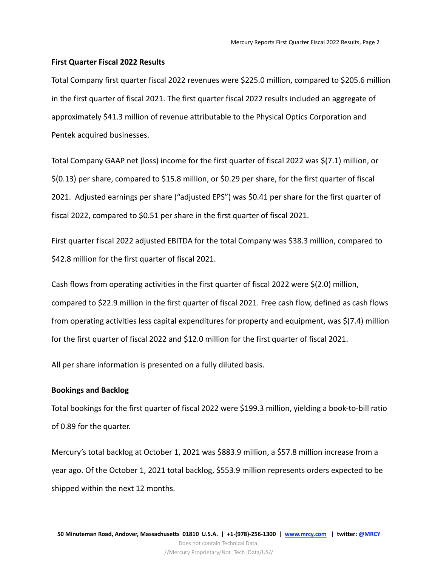## **First Quarter Fiscal 2022 Results**

Total Company first quarter fiscal 2022 revenues were \$225.0 million, compared to \$205.6 million in the first quarter of fiscal 2021. The first quarter fiscal 2022 results included an aggregate of approximately \$41.3 million of revenue attributable to the Physical Optics Corporation and Pentek acquired businesses.

Total Company GAAP net (loss) income for the first quarter of fiscal 2022 was \$(7.1) million, or \$(0.13) per share, compared to \$15.8 million, or \$0.29 per share, for the first quarter of fiscal 2021. Adjusted earnings per share ("adjusted EPS") was \$0.41 per share for the first quarter of fiscal 2022, compared to \$0.51 per share in the first quarter of fiscal 2021.

First quarter fiscal 2022 adjusted EBITDA for the total Company was \$38.3 million, compared to \$42.8 million for the first quarter of fiscal 2021.

Cash flows from operating activities in the first quarter of fiscal 2022 were \$(2.0) million, compared to \$22.9 million in the first quarter of fiscal 2021. Free cash flow, defined as cash flows from operating activities less capital expenditures for property and equipment, was \$(7.4) million for the first quarter of fiscal 2022 and \$12.0 million for the first quarter of fiscal 2021.

All per share information is presented on a fully diluted basis.

## **Bookings and Backlog**

Total bookings for the first quarter of fiscal 2022 were \$199.3 million, yielding a book-to-bill ratio of 0.89 for the quarter.

Mercury's total backlog at October 1, 2021 was \$883.9 million, a \$57.8 million increase from a year ago. Of the October 1, 2021 total backlog, \$553.9 million represents orders expected to be shipped within the next 12 months.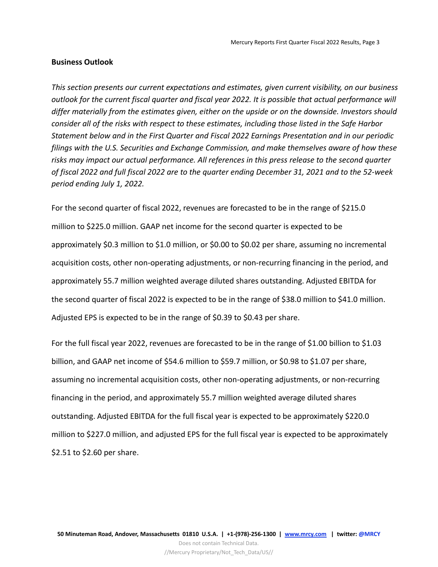## **Business Outlook**

*This section presents our current expectations and estimates, given current visibility, on our business outlook for the current fiscal quarter and fiscal year 2022. It is possible that actual performance will differ materially from the estimates given, either on the upside or on the downside. Investors should consider all of the risks with respect to these estimates, including those listed in the Safe Harbor Statement below and in the First Quarter and Fiscal 2022 Earnings Presentation and in our periodic filings with the U.S. Securities and Exchange Commission, and make themselves aware of how these risks may impact our actual performance. All references in this press release to the second quarter of fiscal 2022 and full fiscal 2022 are to the quarter ending December 31, 2021 and to the 52-week period ending July 1, 2022.*

For the second quarter of fiscal 2022, revenues are forecasted to be in the range of \$215.0 million to \$225.0 million. GAAP net income for the second quarter is expected to be approximately \$0.3 million to \$1.0 million, or \$0.00 to \$0.02 per share, assuming no incremental acquisition costs, other non-operating adjustments, or non-recurring financing in the period, and approximately 55.7 million weighted average diluted shares outstanding. Adjusted EBITDA for the second quarter of fiscal 2022 is expected to be in the range of \$38.0 million to \$41.0 million. Adjusted EPS is expected to be in the range of \$0.39 to \$0.43 per share.

For the full fiscal year 2022, revenues are forecasted to be in the range of \$1.00 billion to \$1.03 billion, and GAAP net income of \$54.6 million to \$59.7 million, or \$0.98 to \$1.07 per share, assuming no incremental acquisition costs, other non-operating adjustments, or non-recurring financing in the period, and approximately 55.7 million weighted average diluted shares outstanding. Adjusted EBITDA for the full fiscal year is expected to be approximately \$220.0 million to \$227.0 million, and adjusted EPS for the full fiscal year is expected to be approximately \$2.51 to \$2.60 per share.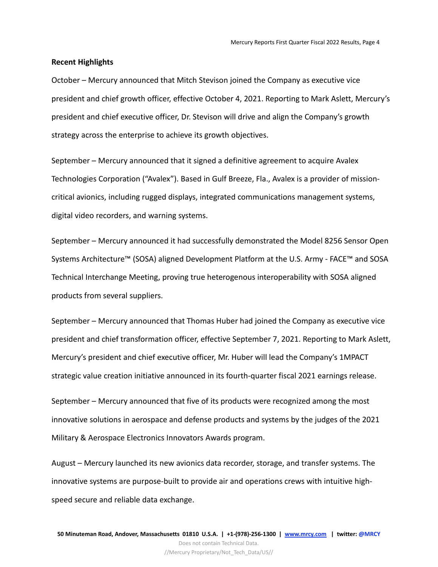## **Recent Highlights**

October – Mercury announced that Mitch Stevison joined the Company as executive vice president and chief growth officer, effective October 4, 2021. Reporting to Mark Aslett, Mercury's president and chief executive officer, Dr. Stevison will drive and align the Company's growth strategy across the enterprise to achieve its growth objectives.

September – Mercury announced that it signed a definitive agreement to acquire Avalex Technologies Corporation ("Avalex"). Based in Gulf Breeze, Fla., Avalex is a provider of missioncritical avionics, including rugged displays, integrated communications management systems, digital video recorders, and warning systems.

September – Mercury announced it had successfully demonstrated the Model 8256 Sensor Open Systems Architecture™ (SOSA) aligned Development Platform at the U.S. Army - FACE™ and SOSA Technical Interchange Meeting, proving true heterogenous interoperability with SOSA aligned products from several suppliers.

September – Mercury announced that Thomas Huber had joined the Company as executive vice president and chief transformation officer, effective September 7, 2021. Reporting to Mark Aslett, Mercury's president and chief executive officer, Mr. Huber will lead the Company's 1MPACT strategic value creation initiative announced in its fourth-quarter fiscal 2021 earnings release.

September – Mercury announced that five of its products were recognized among the most innovative solutions in aerospace and defense products and systems by the judges of the 2021 Military & Aerospace Electronics Innovators Awards program.

August – Mercury launched its new avionics data recorder, storage, and transfer systems. The innovative systems are purpose-built to provide air and operations crews with intuitive highspeed secure and reliable data exchange.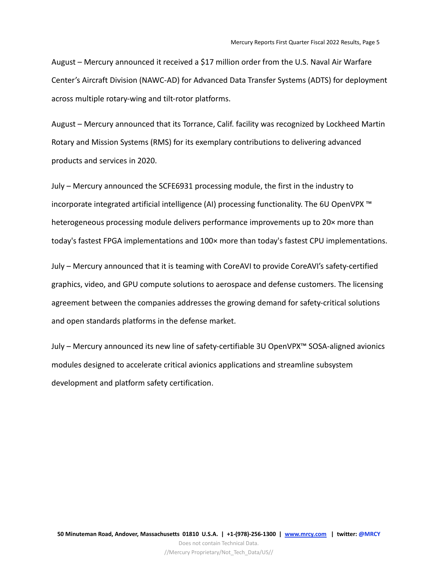August – Mercury announced it received a \$17 million order from the U.S. Naval Air Warfare Center's Aircraft Division (NAWC-AD) for Advanced Data Transfer Systems (ADTS) for deployment across multiple rotary-wing and tilt-rotor platforms.

August – Mercury announced that its Torrance, Calif. facility was recognized by Lockheed Martin Rotary and Mission Systems (RMS) for its exemplary contributions to delivering advanced products and services in 2020.

July – Mercury announced the SCFE6931 processing module, the first in the industry to incorporate integrated artificial intelligence (AI) processing functionality. The 6U OpenVPX ™ heterogeneous processing module delivers performance improvements up to 20× more than today's fastest FPGA implementations and 100x more than today's fastest CPU implementations.

July – Mercury announced that it is teaming with CoreAVI to provide CoreAVI's safety-certified graphics, video, and GPU compute solutions to aerospace and defense customers. The licensing agreement between the companies addresses the growing demand for safety-critical solutions and open standards platforms in the defense market.

July – Mercury announced its new line of safety-certifiable 3U OpenVPX™ SOSA-aligned avionics modules designed to accelerate critical avionics applications and streamline subsystem development and platform safety certification.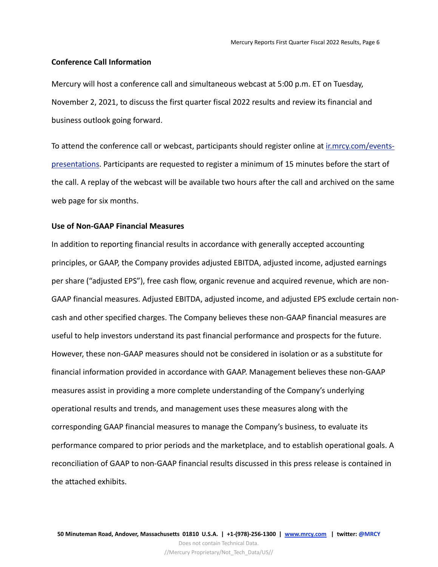## **Conference Call Information**

Mercury will host a conference call and simultaneous webcast at 5:00 p.m. ET on Tuesday, November 2, 2021, to discuss the first quarter fiscal 2022 results and review its financial and business outlook going forward.

To attend the conference call or webcast, participants should register online at ir.mrcy.com/eventspresentations. Participants are requested to register a minimum of 15 minutes before the start of the call. A replay of the webcast will be available two hours after the call and archived on the same web page for six months.

## **Use of Non-GAAP Financial Measures**

In addition to reporting financial results in accordance with generally accepted accounting principles, or GAAP, the Company provides adjusted EBITDA, adjusted income, adjusted earnings per share ("adjusted EPS"), free cash flow, organic revenue and acquired revenue, which are non-GAAP financial measures. Adjusted EBITDA, adjusted income, and adjusted EPS exclude certain noncash and other specified charges. The Company believes these non-GAAP financial measures are useful to help investors understand its past financial performance and prospects for the future. However, these non-GAAP measures should not be considered in isolation or as a substitute for financial information provided in accordance with GAAP. Management believes these non-GAAP measures assist in providing a more complete understanding of the Company's underlying operational results and trends, and management uses these measures along with the corresponding GAAP financial measures to manage the Company's business, to evaluate its performance compared to prior periods and the marketplace, and to establish operational goals. A reconciliation of GAAP to non-GAAP financial results discussed in this press release is contained in the attached exhibits.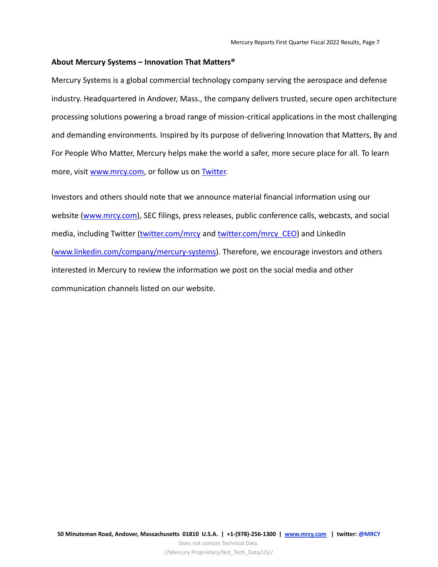## **About Mercury Systems – Innovation That Matters®**

Mercury Systems is a global commercial technology company serving the aerospace and defense industry. Headquartered in Andover, Mass., the company delivers trusted, secure open architecture processing solutions powering a broad range of mission-critical applications in the most challenging and demanding environments. Inspired by its purpose of delivering Innovation that Matters, By and For People Who Matter, Mercury helps make the world a safer, more secure place for all. To learn more, visit www.mrcy.com, or follow us on Twitter.

Investors and others should note that we announce material financial information using our website (www.mrcy.com), SEC filings, press releases, public conference calls, webcasts, and social media, including Twitter (twitter.com/mrcy and twitter.com/mrcy\_CEO) and LinkedIn (www.linkedin.com/company/mercury-systems). Therefore, we encourage investors and others interested in Mercury to review the information we post on the social media and other communication channels listed on our website.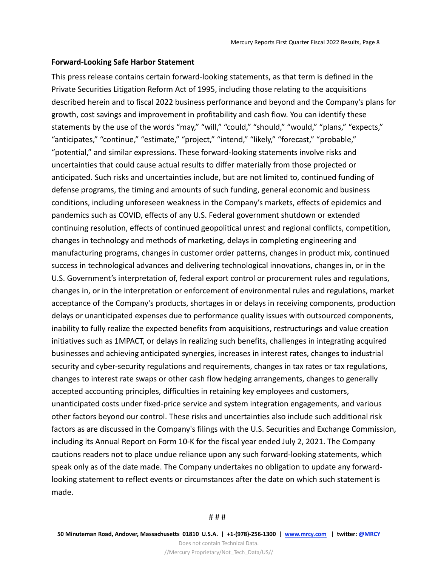## **Forward-Looking Safe Harbor Statement**

This press release contains certain forward-looking statements, as that term is defined in the Private Securities Litigation Reform Act of 1995, including those relating to the acquisitions described herein and to fiscal 2022 business performance and beyond and the Company's plans for growth, cost savings and improvement in profitability and cash flow. You can identify these statements by the use of the words "may," "will," "could," "should," "would," "plans," "expects," "anticipates," "continue," "estimate," "project," "intend," "likely," "forecast," "probable," "potential," and similar expressions. These forward-looking statements involve risks and uncertainties that could cause actual results to differ materially from those projected or anticipated. Such risks and uncertainties include, but are not limited to, continued funding of defense programs, the timing and amounts of such funding, general economic and business conditions, including unforeseen weakness in the Company's markets, effects of epidemics and pandemics such as COVID, effects of any U.S. Federal government shutdown or extended continuing resolution, effects of continued geopolitical unrest and regional conflicts, competition, changes in technology and methods of marketing, delays in completing engineering and manufacturing programs, changes in customer order patterns, changes in product mix, continued success in technological advances and delivering technological innovations, changes in, or in the U.S. Government's interpretation of, federal export control or procurement rules and regulations, changes in, or in the interpretation or enforcement of environmental rules and regulations, market acceptance of the Company's products, shortages in or delays in receiving components, production delays or unanticipated expenses due to performance quality issues with outsourced components, inability to fully realize the expected benefits from acquisitions, restructurings and value creation initiatives such as 1MPACT, or delays in realizing such benefits, challenges in integrating acquired businesses and achieving anticipated synergies, increases in interest rates, changes to industrial security and cyber-security regulations and requirements, changes in tax rates or tax regulations, changes to interest rate swaps or other cash flow hedging arrangements, changes to generally accepted accounting principles, difficulties in retaining key employees and customers, unanticipated costs under fixed-price service and system integration engagements, and various other factors beyond our control. These risks and uncertainties also include such additional risk factors as are discussed in the Company's filings with the U.S. Securities and Exchange Commission, including its Annual Report on Form 10-K for the fiscal year ended July 2, 2021. The Company cautions readers not to place undue reliance upon any such forward-looking statements, which speak only as of the date made. The Company undertakes no obligation to update any forwardlooking statement to reflect events or circumstances after the date on which such statement is made.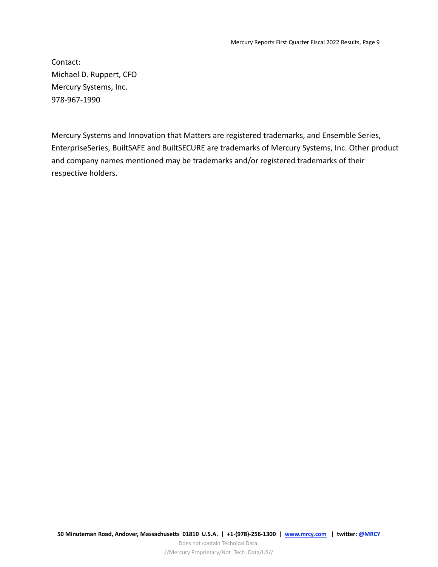Contact: Michael D. Ruppert, CFO Mercury Systems, Inc. 978-967-1990

Mercury Systems and Innovation that Matters are registered trademarks, and Ensemble Series, EnterpriseSeries, BuiltSAFE and BuiltSECURE are trademarks of Mercury Systems, Inc. Other product and company names mentioned may be trademarks and/or registered trademarks of their respective holders.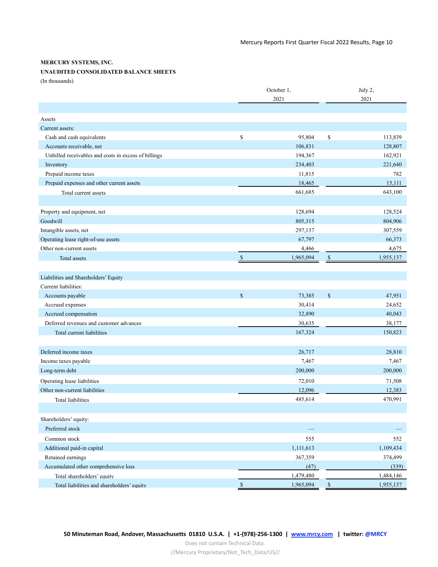#### **MERCURY SYSTEMS, INC.**

## **UNAUDITED CONSOLIDATED BALANCE SHEETS**

(In thousands)

|                                                      |              | October 1, | July 2,      |           |  |  |
|------------------------------------------------------|--------------|------------|--------------|-----------|--|--|
|                                                      | 2021         |            | 2021         |           |  |  |
|                                                      |              |            |              |           |  |  |
| Assets                                               |              |            |              |           |  |  |
| Current assets:                                      |              |            |              |           |  |  |
| Cash and cash equivalents                            | $\mathbb S$  | 95,804     | \$           | 113,839   |  |  |
| Accounts receivable, net                             |              | 106,831    |              | 128,807   |  |  |
| Unbilled receivables and costs in excess of billings |              | 194,367    |              | 162,921   |  |  |
| Inventory                                            |              | 234,403    |              | 221,640   |  |  |
| Prepaid income taxes                                 |              | 11,815     |              | 782       |  |  |
| Prepaid expenses and other current assets            |              | 18,465     |              | 15,111    |  |  |
| Total current assets                                 |              | 661,685    |              | 643,100   |  |  |
|                                                      |              |            |              |           |  |  |
| Property and equipment, net                          |              | 128,694    |              | 128,524   |  |  |
| Goodwill                                             |              | 805,315    |              | 804,906   |  |  |
| Intangible assets, net                               |              | 297,137    |              | 307,559   |  |  |
| Operating lease right-of-use assets                  |              | 67,797     |              | 66,373    |  |  |
| Other non-current assets                             |              | 4,466      |              | 4,675     |  |  |
| Total assets                                         | $\mathbb{S}$ | 1,965,094  | \$           | 1,955,137 |  |  |
|                                                      |              |            |              |           |  |  |
| Liabilities and Shareholders' Equity                 |              |            |              |           |  |  |
| Current liabilities:                                 |              |            |              |           |  |  |
| Accounts payable                                     | $\mathbb{S}$ | 73,385     | $\mathbb{S}$ | 47,951    |  |  |
| Accrued expenses                                     |              | 30,414     |              | 24,652    |  |  |
| Accrued compensation                                 |              | 32,890     |              | 40,043    |  |  |
| Deferred revenues and customer advances              |              | 30,635     |              | 38,177    |  |  |
| Total current liabilities                            |              | 167,324    |              | 150,823   |  |  |
|                                                      |              |            |              |           |  |  |
| Deferred income taxes                                |              | 26,717     |              | 28,810    |  |  |
| Income taxes payable                                 |              | 7,467      |              | 7,467     |  |  |
| Long-term debt                                       |              | 200,000    |              | 200,000   |  |  |
| Operating lease liabilities                          |              | 72,010     |              | 71,508    |  |  |
| Other non-current liabilities                        |              | 12,096     |              | 12,383    |  |  |
| <b>Total liabilities</b>                             |              | 485,614    |              | 470,991   |  |  |
|                                                      |              |            |              |           |  |  |
|                                                      |              |            |              |           |  |  |
| Shareholders' equity:                                |              |            |              |           |  |  |
| Preferred stock                                      |              |            |              |           |  |  |
| Common stock                                         |              | 555        |              | 552       |  |  |
| Additional paid-in capital                           |              | 1,111,613  |              | 1,109,434 |  |  |
| Retained earnings                                    |              | 367,359    |              | 374,499   |  |  |
| Accumulated other comprehensive loss                 |              | (47)       |              | (339)     |  |  |
| Total shareholders' equity                           |              | 1,479,480  |              | 1,484,146 |  |  |
| Total liabilities and shareholders' equity           | $\mathbb S$  | 1,965,094  | $\mathbb{S}$ | 1,955,137 |  |  |

**50 Minuteman Road, Andover, Massachusetts 01810 U.S.A. | +1-(978)-256-1300 | www.mrcy.com | twitter: @MRCY**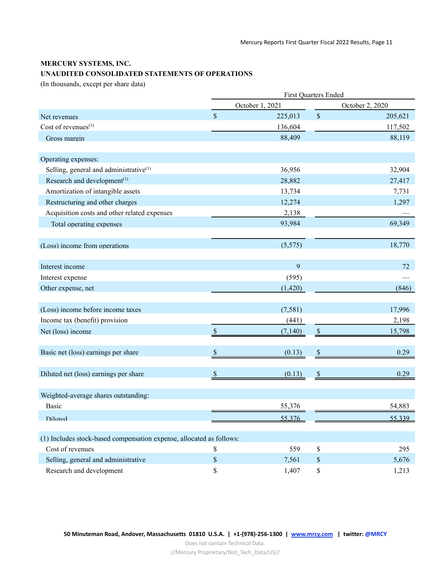## **MERCURY SYSTEMS, INC.**

## **UNAUDITED CONSOLIDATED STATEMENTS OF OPERATIONS**

(In thousands, except per share data)

|                                                                      |                           | First Quarters Ended |                           |                 |  |  |  |  |  |
|----------------------------------------------------------------------|---------------------------|----------------------|---------------------------|-----------------|--|--|--|--|--|
|                                                                      |                           | October 1, 2021      |                           | October 2, 2020 |  |  |  |  |  |
| Net revenues                                                         | \$                        | 225,013              | \$                        | 205,621         |  |  |  |  |  |
| Cost of revenues $(1)$                                               |                           | 136,604              |                           | 117,502         |  |  |  |  |  |
| Gross margin                                                         |                           | 88,409               |                           | 88,119          |  |  |  |  |  |
|                                                                      |                           |                      |                           |                 |  |  |  |  |  |
| Operating expenses:                                                  |                           |                      |                           |                 |  |  |  |  |  |
| Selling, general and administrative $(1)$                            |                           | 36,956               |                           | 32,904          |  |  |  |  |  |
| Research and development <sup>(1)</sup>                              |                           | 28,882               |                           | 27,417          |  |  |  |  |  |
| Amortization of intangible assets                                    |                           | 13,734               |                           | 7,731           |  |  |  |  |  |
| Restructuring and other charges                                      |                           | 12,274               |                           | 1,297           |  |  |  |  |  |
| Acquisition costs and other related expenses                         |                           | 2,138                |                           |                 |  |  |  |  |  |
| Total operating expenses                                             |                           | 93,984               |                           | 69,349          |  |  |  |  |  |
|                                                                      |                           |                      |                           |                 |  |  |  |  |  |
| (Loss) income from operations                                        |                           | (5, 575)             |                           | 18,770          |  |  |  |  |  |
|                                                                      |                           |                      |                           |                 |  |  |  |  |  |
| Interest income                                                      |                           | 9                    |                           | 72              |  |  |  |  |  |
| Interest expense                                                     |                           | (595)                |                           |                 |  |  |  |  |  |
| Other expense, net                                                   |                           | (1,420)              |                           | (846)           |  |  |  |  |  |
|                                                                      |                           |                      |                           |                 |  |  |  |  |  |
| (Loss) income before income taxes                                    |                           | (7,581)              |                           | 17,996          |  |  |  |  |  |
| Income tax (benefit) provision                                       |                           | (441)                |                           | 2,198           |  |  |  |  |  |
| Net (loss) income                                                    | $\mathcal{S}$             | (7,140)              | $\mathbb{S}$              | 15,798          |  |  |  |  |  |
|                                                                      |                           |                      |                           |                 |  |  |  |  |  |
| Basic net (loss) earnings per share                                  | $\boldsymbol{\mathsf{S}}$ | (0.13)               | $\boldsymbol{\mathsf{S}}$ | 0.29            |  |  |  |  |  |
|                                                                      |                           |                      |                           |                 |  |  |  |  |  |
| Diluted net (loss) earnings per share                                | $\boldsymbol{\mathsf{S}}$ | (0.13)               | $\boldsymbol{\mathsf{S}}$ | 0.29            |  |  |  |  |  |
|                                                                      |                           |                      |                           |                 |  |  |  |  |  |
| Weighted-average shares outstanding:                                 |                           |                      |                           |                 |  |  |  |  |  |
| Basic                                                                |                           | 55,376               |                           | 54,883          |  |  |  |  |  |
| <b>Diluted</b>                                                       |                           | 55,376               |                           | 55,339          |  |  |  |  |  |
|                                                                      |                           |                      |                           |                 |  |  |  |  |  |
| (1) Includes stock-based compensation expense, allocated as follows: |                           |                      |                           |                 |  |  |  |  |  |
| Cost of revenues                                                     | $\mathbb S$               | 559                  | \$                        | 295             |  |  |  |  |  |
| Selling, general and administrative                                  | \$                        | 7,561                | $\$$                      | 5,676           |  |  |  |  |  |
| Research and development                                             | \$                        | 1,407                | \$                        | 1,213           |  |  |  |  |  |

**50 Minuteman Road, Andover, Massachusetts 01810 U.S.A. | +1-(978)-256-1300 | www.mrcy.com | twitter: @MRCY**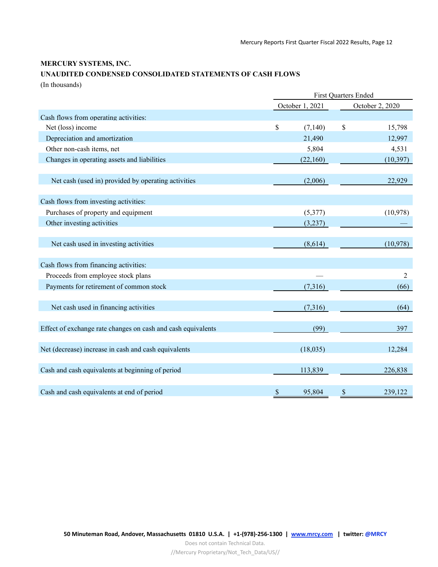## **MERCURY SYSTEMS, INC. UNAUDITED CONDENSED CONSOLIDATED STATEMENTS OF CASH FLOWS**

(In thousands)

|                                                              | <b>First Quarters Ended</b>         |                 |  |  |  |  |
|--------------------------------------------------------------|-------------------------------------|-----------------|--|--|--|--|
|                                                              | October 1, 2021                     | October 2, 2020 |  |  |  |  |
| Cash flows from operating activities:                        |                                     |                 |  |  |  |  |
| Net (loss) income                                            | \$<br>(7,140)                       | \$<br>15,798    |  |  |  |  |
| Depreciation and amortization                                | 21,490                              | 12,997          |  |  |  |  |
| Other non-cash items, net                                    | 5,804                               | 4,531           |  |  |  |  |
| Changes in operating assets and liabilities                  | (22,160)                            | (10, 397)       |  |  |  |  |
| Net cash (used in) provided by operating activities          | (2,006)                             | 22,929          |  |  |  |  |
| Cash flows from investing activities:                        |                                     |                 |  |  |  |  |
| Purchases of property and equipment                          | (5,377)                             | (10, 978)       |  |  |  |  |
| Other investing activities                                   | (3,237)                             |                 |  |  |  |  |
| Net cash used in investing activities                        | (8,614)                             | (10, 978)       |  |  |  |  |
| Cash flows from financing activities:                        |                                     |                 |  |  |  |  |
| Proceeds from employee stock plans                           |                                     | 2               |  |  |  |  |
| Payments for retirement of common stock                      | (7,316)                             | (66)            |  |  |  |  |
| Net cash used in financing activities                        | (7,316)                             | (64)            |  |  |  |  |
| Effect of exchange rate changes on cash and cash equivalents | (99)                                | 397             |  |  |  |  |
| Net (decrease) increase in cash and cash equivalents         | (18,035)                            | 12,284          |  |  |  |  |
| Cash and cash equivalents at beginning of period             | 113,839                             | 226,838         |  |  |  |  |
| Cash and cash equivalents at end of period                   | $\boldsymbol{\mathsf{S}}$<br>95,804 | 239,122<br>\$   |  |  |  |  |

**50 Minuteman Road, Andover, Massachusetts 01810 U.S.A. | +1-(978)-256-1300 | www.mrcy.com | twitter: @MRCY**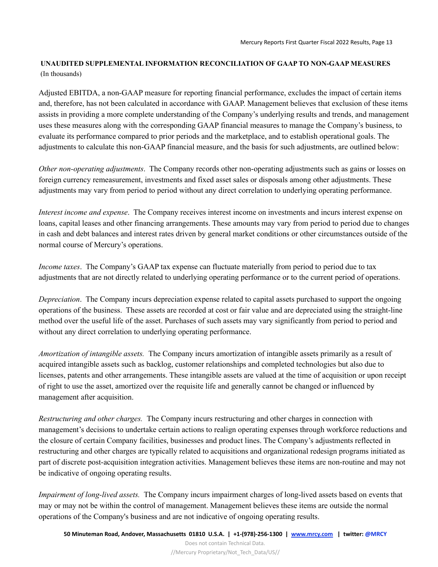## **UNAUDITED SUPPLEMENTAL INFORMATION RECONCILIATION OF GAAP TO NON-GAAP MEASURES** (In thousands)

Adjusted EBITDA, a non-GAAP measure for reporting financial performance, excludes the impact of certain items and, therefore, has not been calculated in accordance with GAAP. Management believes that exclusion of these items assists in providing a more complete understanding of the Company's underlying results and trends, and management uses these measures along with the corresponding GAAP financial measures to manage the Company's business, to evaluate its performance compared to prior periods and the marketplace, and to establish operational goals. The adjustments to calculate this non-GAAP financial measure, and the basis for such adjustments, are outlined below:

*Other non-operating adjustments*. The Company records other non-operating adjustments such as gains or losses on foreign currency remeasurement, investments and fixed asset sales or disposals among other adjustments. These adjustments may vary from period to period without any direct correlation to underlying operating performance.

*Interest income and expense*. The Company receives interest income on investments and incurs interest expense on loans, capital leases and other financing arrangements. These amounts may vary from period to period due to changes in cash and debt balances and interest rates driven by general market conditions or other circumstances outside of the normal course of Mercury's operations.

*Income taxes*. The Company's GAAP tax expense can fluctuate materially from period to period due to tax adjustments that are not directly related to underlying operating performance or to the current period of operations.

*Depreciation*. The Company incurs depreciation expense related to capital assets purchased to support the ongoing operations of the business. These assets are recorded at cost or fair value and are depreciated using the straight-line method over the useful life of the asset. Purchases of such assets may vary significantly from period to period and without any direct correlation to underlying operating performance.

*Amortization of intangible assets.* The Company incurs amortization of intangible assets primarily as a result of acquired intangible assets such as backlog, customer relationships and completed technologies but also due to licenses, patents and other arrangements. These intangible assets are valued at the time of acquisition or upon receipt of right to use the asset, amortized over the requisite life and generally cannot be changed or influenced by management after acquisition.

*Restructuring and other charges.* The Company incurs restructuring and other charges in connection with management's decisions to undertake certain actions to realign operating expenses through workforce reductions and the closure of certain Company facilities, businesses and product lines. The Company's adjustments reflected in restructuring and other charges are typically related to acquisitions and organizational redesign programs initiated as part of discrete post-acquisition integration activities. Management believes these items are non-routine and may not be indicative of ongoing operating results.

*Impairment of long-lived assets.* The Company incurs impairment charges of long-lived assets based on events that may or may not be within the control of management. Management believes these items are outside the normal operations of the Company's business and are not indicative of ongoing operating results.

**50 Minuteman Road, Andover, Massachusetts 01810 U.S.A. | +1-(978)-256-1300 | www.mrcy.com | twitter: @MRCY**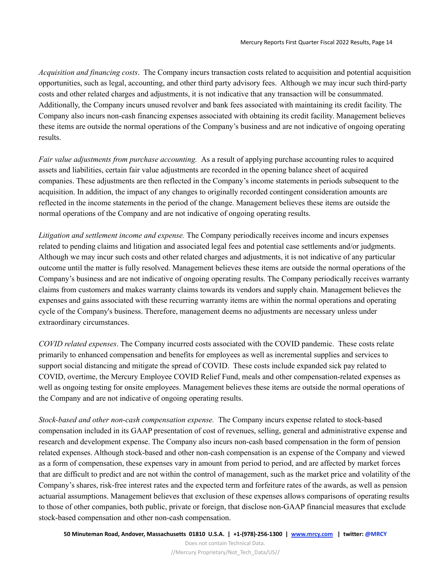*Acquisition and financing costs*. The Company incurs transaction costs related to acquisition and potential acquisition opportunities, such as legal, accounting, and other third party advisory fees. Although we may incur such third-party costs and other related charges and adjustments, it is not indicative that any transaction will be consummated. Additionally, the Company incurs unused revolver and bank fees associated with maintaining its credit facility. The Company also incurs non-cash financing expenses associated with obtaining its credit facility. Management believes these items are outside the normal operations of the Company's business and are not indicative of ongoing operating results.

*Fair value adjustments from purchase accounting.* As a result of applying purchase accounting rules to acquired assets and liabilities, certain fair value adjustments are recorded in the opening balance sheet of acquired companies. These adjustments are then reflected in the Company's income statements in periods subsequent to the acquisition. In addition, the impact of any changes to originally recorded contingent consideration amounts are reflected in the income statements in the period of the change. Management believes these items are outside the normal operations of the Company and are not indicative of ongoing operating results.

*Litigation and settlement income and expense.* The Company periodically receives income and incurs expenses related to pending claims and litigation and associated legal fees and potential case settlements and/or judgments. Although we may incur such costs and other related charges and adjustments, it is not indicative of any particular outcome until the matter is fully resolved. Management believes these items are outside the normal operations of the Company's business and are not indicative of ongoing operating results. The Company periodically receives warranty claims from customers and makes warranty claims towards its vendors and supply chain. Management believes the expenses and gains associated with these recurring warranty items are within the normal operations and operating cycle of the Company's business. Therefore, management deems no adjustments are necessary unless under extraordinary circumstances.

*COVID related expenses*. The Company incurred costs associated with the COVID pandemic. These costs relate primarily to enhanced compensation and benefits for employees as well as incremental supplies and services to support social distancing and mitigate the spread of COVID. These costs include expanded sick pay related to COVID, overtime, the Mercury Employee COVID Relief Fund, meals and other compensation-related expenses as well as ongoing testing for onsite employees. Management believes these items are outside the normal operations of the Company and are not indicative of ongoing operating results.

*Stock-based and other non-cash compensation expense.* The Company incurs expense related to stock-based compensation included in its GAAP presentation of cost of revenues, selling, general and administrative expense and research and development expense. The Company also incurs non-cash based compensation in the form of pension related expenses. Although stock-based and other non-cash compensation is an expense of the Company and viewed as a form of compensation, these expenses vary in amount from period to period, and are affected by market forces that are difficult to predict and are not within the control of management, such as the market price and volatility of the Company's shares, risk-free interest rates and the expected term and forfeiture rates of the awards, as well as pension actuarial assumptions. Management believes that exclusion of these expenses allows comparisons of operating results to those of other companies, both public, private or foreign, that disclose non-GAAP financial measures that exclude stock-based compensation and other non-cash compensation.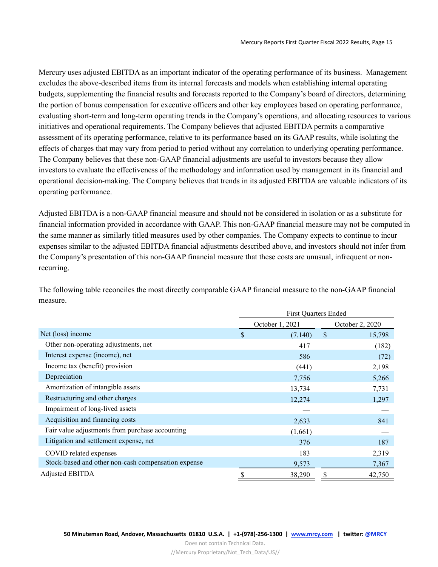Mercury uses adjusted EBITDA as an important indicator of the operating performance of its business. Management excludes the above-described items from its internal forecasts and models when establishing internal operating budgets, supplementing the financial results and forecasts reported to the Company's board of directors, determining the portion of bonus compensation for executive officers and other key employees based on operating performance, evaluating short-term and long-term operating trends in the Company's operations, and allocating resources to various initiatives and operational requirements. The Company believes that adjusted EBITDA permits a comparative assessment of its operating performance, relative to its performance based on its GAAP results, while isolating the effects of charges that may vary from period to period without any correlation to underlying operating performance. The Company believes that these non-GAAP financial adjustments are useful to investors because they allow investors to evaluate the effectiveness of the methodology and information used by management in its financial and operational decision-making. The Company believes that trends in its adjusted EBITDA are valuable indicators of its operating performance.

Adjusted EBITDA is a non-GAAP financial measure and should not be considered in isolation or as a substitute for financial information provided in accordance with GAAP. This non-GAAP financial measure may not be computed in the same manner as similarly titled measures used by other companies. The Company expects to continue to incur expenses similar to the adjusted EBITDA financial adjustments described above, and investors should not infer from the Company's presentation of this non-GAAP financial measure that these costs are unusual, infrequent or nonrecurring.

The following table reconciles the most directly comparable GAAP financial measure to the non-GAAP financial measure.

|                                                     | <b>First Quarters Ended</b> |                 |                        |        |  |  |  |
|-----------------------------------------------------|-----------------------------|-----------------|------------------------|--------|--|--|--|
|                                                     |                             | October 1, 2021 | October 2, 2020        |        |  |  |  |
| Net (loss) income                                   | \$                          | (7,140)         | $\mathbf{\mathcal{S}}$ | 15,798 |  |  |  |
| Other non-operating adjustments, net                |                             | 417             |                        | (182)  |  |  |  |
| Interest expense (income), net                      |                             | 586             |                        | (72)   |  |  |  |
| Income tax (benefit) provision                      |                             | (441)           |                        | 2,198  |  |  |  |
| Depreciation                                        |                             | 7,756           |                        | 5,266  |  |  |  |
| Amortization of intangible assets                   |                             | 13,734          |                        | 7,731  |  |  |  |
| Restructuring and other charges                     |                             | 12,274          |                        | 1,297  |  |  |  |
| Impairment of long-lived assets                     |                             |                 |                        |        |  |  |  |
| Acquisition and financing costs                     |                             | 2,633           |                        | 841    |  |  |  |
| Fair value adjustments from purchase accounting     |                             | (1,661)         |                        |        |  |  |  |
| Litigation and settlement expense, net              |                             | 376             |                        | 187    |  |  |  |
| COVID related expenses                              |                             | 183             |                        | 2,319  |  |  |  |
| Stock-based and other non-cash compensation expense |                             | 9,573           |                        | 7,367  |  |  |  |
| Adjusted EBITDA                                     |                             | 38,290          | S                      | 42,750 |  |  |  |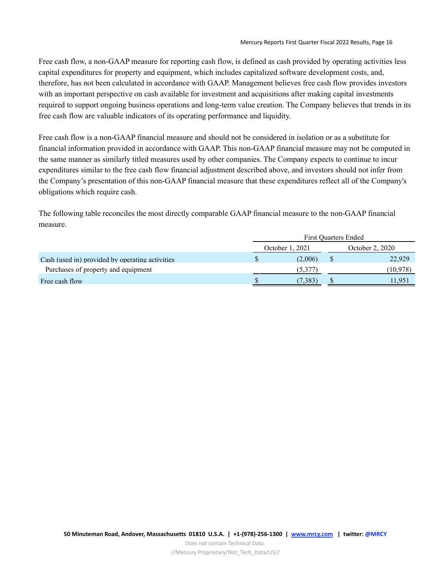Free cash flow, a non-GAAP measure for reporting cash flow, is defined as cash provided by operating activities less capital expenditures for property and equipment, which includes capitalized software development costs, and, therefore, has not been calculated in accordance with GAAP. Management believes free cash flow provides investors with an important perspective on cash available for investment and acquisitions after making capital investments required to support ongoing business operations and long-term value creation. The Company believes that trends in its free cash flow are valuable indicators of its operating performance and liquidity.

Free cash flow is a non-GAAP financial measure and should not be considered in isolation or as a substitute for financial information provided in accordance with GAAP. This non-GAAP financial measure may not be computed in the same manner as similarly titled measures used by other companies. The Company expects to continue to incur expenditures similar to the free cash flow financial adjustment described above, and investors should not infer from the Company's presentation of this non-GAAP financial measure that these expenditures reflect all of the Company's obligations which require cash.

The following table reconciles the most directly comparable GAAP financial measure to the non-GAAP financial measure.

|                                                 | <b>First Ouarters Ended</b> |    |                 |  |  |  |  |  |
|-------------------------------------------------|-----------------------------|----|-----------------|--|--|--|--|--|
|                                                 | October 1, 2021             |    | October 2, 2020 |  |  |  |  |  |
| Cash (used in) provided by operating activities | (2,006)                     | \$ | 22,929          |  |  |  |  |  |
| Purchases of property and equipment             | (5,377                      |    | (10.978)        |  |  |  |  |  |
| Free cash flow                                  | 7,383)                      | S  | 11,951          |  |  |  |  |  |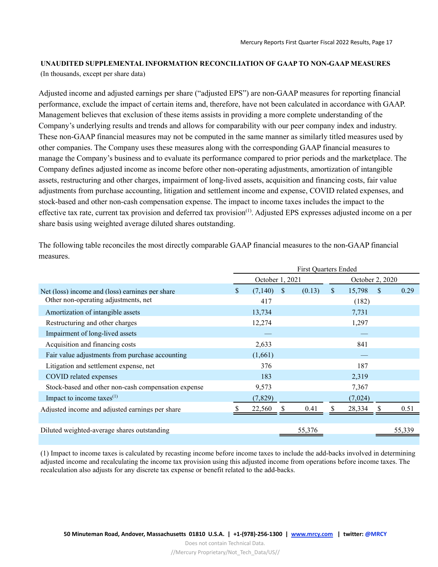## **UNAUDITED SUPPLEMENTAL INFORMATION RECONCILIATION OF GAAP TO NON-GAAP MEASURES** (In thousands, except per share data)

Adjusted income and adjusted earnings per share ("adjusted EPS") are non-GAAP measures for reporting financial performance, exclude the impact of certain items and, therefore, have not been calculated in accordance with GAAP. Management believes that exclusion of these items assists in providing a more complete understanding of the Company's underlying results and trends and allows for comparability with our peer company index and industry. These non-GAAP financial measures may not be computed in the same manner as similarly titled measures used by other companies. The Company uses these measures along with the corresponding GAAP financial measures to manage the Company's business and to evaluate its performance compared to prior periods and the marketplace. The Company defines adjusted income as income before other non-operating adjustments, amortization of intangible assets, restructuring and other charges, impairment of long-lived assets, acquisition and financing costs, fair value adjustments from purchase accounting, litigation and settlement income and expense, COVID related expenses, and stock-based and other non-cash compensation expense. The impact to income taxes includes the impact to the effective tax rate, current tax provision and deferred tax provision<sup>(1)</sup>. Adjusted EPS expresses adjusted income on a per share basis using weighted average diluted shares outstanding.

|                                                     | <b>First Quarters Ended</b> |          |              |        |    |                 |   |        |  |
|-----------------------------------------------------|-----------------------------|----------|--------------|--------|----|-----------------|---|--------|--|
|                                                     | October 1, 2021             |          |              |        |    | October 2, 2020 |   |        |  |
| Net (loss) income and (loss) earnings per share     |                             | (7,140)  | <sup>S</sup> | (0.13) | \$ | 15,798          | S | 0.29   |  |
| Other non-operating adjustments, net                |                             | 417      |              |        |    | (182)           |   |        |  |
| Amortization of intangible assets                   |                             | 13,734   |              |        |    | 7,731           |   |        |  |
| Restructuring and other charges                     |                             | 12,274   |              |        |    | 1,297           |   |        |  |
| Impairment of long-lived assets                     |                             |          |              |        |    |                 |   |        |  |
| Acquisition and financing costs                     |                             | 2,633    |              |        |    | 841             |   |        |  |
| Fair value adjustments from purchase accounting     |                             | (1,661)  |              |        |    |                 |   |        |  |
| Litigation and settlement expense, net              |                             | 376      |              |        |    | 187             |   |        |  |
| COVID related expenses                              |                             | 183      |              |        |    | 2,319           |   |        |  |
| Stock-based and other non-cash compensation expense |                             | 9,573    |              |        |    | 7,367           |   |        |  |
| Impact to income taxes $(1)$                        |                             | (7, 829) |              |        |    | (7,024)         |   |        |  |
| Adjusted income and adjusted earnings per share     |                             | 22,560   |              | 0.41   |    | 28,334          |   | 0.51   |  |
|                                                     |                             |          |              |        |    |                 |   |        |  |
| Diluted weighted-average shares outstanding         |                             |          |              | 55.376 |    |                 |   | 55.339 |  |
|                                                     |                             |          |              |        |    |                 |   |        |  |

The following table reconciles the most directly comparable GAAP financial measures to the non-GAAP financial measures.

(1) Impact to income taxes is calculated by recasting income before income taxes to include the add-backs involved in determining adjusted income and recalculating the income tax provision using this adjusted income from operations before income taxes. The recalculation also adjusts for any discrete tax expense or benefit related to the add-backs.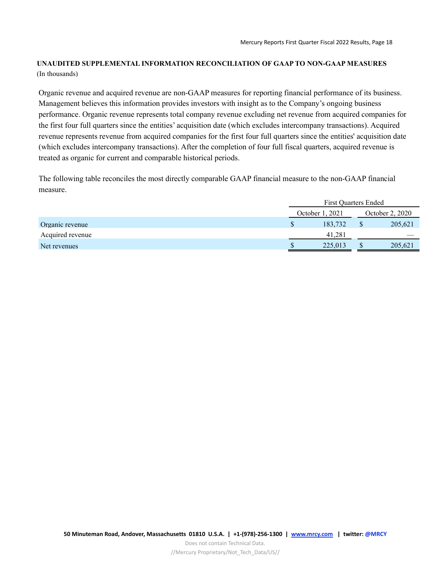## **UNAUDITED SUPPLEMENTAL INFORMATION RECONCILIATION OF GAAP TO NON-GAAP MEASURES** (In thousands)

Organic revenue and acquired revenue are non-GAAP measures for reporting financial performance of its business. Management believes this information provides investors with insight as to the Company's ongoing business performance. Organic revenue represents total company revenue excluding net revenue from acquired companies for the first four full quarters since the entities' acquisition date (which excludes intercompany transactions). Acquired revenue represents revenue from acquired companies for the first four full quarters since the entities' acquisition date (which excludes intercompany transactions). After the completion of four full fiscal quarters, acquired revenue is treated as organic for current and comparable historical periods.

The following table reconciles the most directly comparable GAAP financial measure to the non-GAAP financial measure.

|                  | <b>First Quarters Ended</b> |    |                          |  |  |  |
|------------------|-----------------------------|----|--------------------------|--|--|--|
|                  | October 1, 2021             |    | October 2, 2020          |  |  |  |
| Organic revenue  | 183,732                     |    | 205,621                  |  |  |  |
| Acquired revenue | 41.281                      |    | $\overline{\phantom{a}}$ |  |  |  |
| Net revenues     | 225,013                     | ٠D | 205,621                  |  |  |  |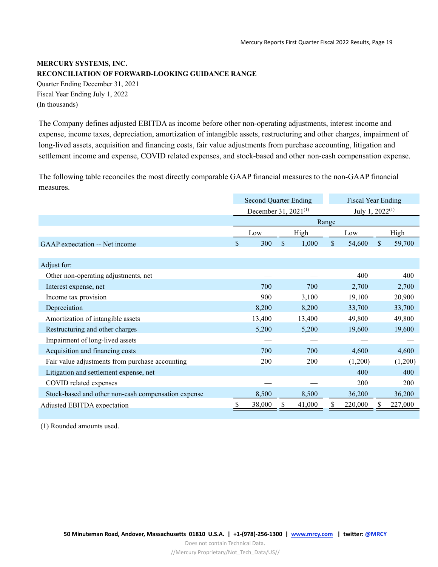## **MERCURY SYSTEMS, INC. RECONCILIATION OF FORWARD-LOOKING GUIDANCE RANGE**

Quarter Ending December 31, 2021 Fiscal Year Ending July 1, 2022 (In thousands)

The Company defines adjusted EBITDA as income before other non-operating adjustments, interest income and expense, income taxes, depreciation, amortization of intangible assets, restructuring and other charges, impairment of long-lived assets, acquisition and financing costs, fair value adjustments from purchase accounting, litigation and settlement income and expense, COVID related expenses, and stock-based and other non-cash compensation expense.

The following table reconciles the most directly comparable GAAP financial measures to the non-GAAP financial measures.

|                                                     | <b>Second Quarter Ending</b> |               | <b>Fiscal Year Ending</b> |                             |         |               |         |
|-----------------------------------------------------|------------------------------|---------------|---------------------------|-----------------------------|---------|---------------|---------|
|                                                     | December 31, $2021^{(1)}$    |               |                           | July 1, 2022 <sup>(1)</sup> |         |               |         |
|                                                     |                              |               |                           | Range                       |         |               |         |
|                                                     | Low                          |               | High                      | Low                         |         |               | High    |
| GAAP expectation -- Net income                      | \$<br>300                    | $\mathcal{S}$ | 1,000                     | $\mathbb{S}$                | 54,600  | <sup>\$</sup> | 59,700  |
|                                                     |                              |               |                           |                             |         |               |         |
| Adjust for:                                         |                              |               |                           |                             |         |               |         |
| Other non-operating adjustments, net                |                              |               |                           |                             | 400     |               | 400     |
| Interest expense, net                               | 700                          |               | 700                       |                             | 2,700   |               | 2,700   |
| Income tax provision                                | 900                          |               | 3,100                     |                             | 19,100  |               | 20,900  |
| Depreciation                                        | 8,200                        |               | 8,200                     |                             | 33,700  |               | 33,700  |
| Amortization of intangible assets                   | 13,400                       |               | 13,400                    |                             | 49,800  |               | 49,800  |
| Restructuring and other charges                     | 5,200                        |               | 5,200                     |                             | 19,600  |               | 19,600  |
| Impairment of long-lived assets                     |                              |               |                           |                             |         |               |         |
| Acquisition and financing costs                     | 700                          |               | 700                       |                             | 4,600   |               | 4,600   |
| Fair value adjustments from purchase accounting     | 200                          |               | 200                       |                             | (1,200) |               | (1,200) |
| Litigation and settlement expense, net              |                              |               |                           |                             | 400     |               | 400     |
| COVID related expenses                              |                              |               |                           |                             | 200     |               | 200     |
| Stock-based and other non-cash compensation expense | 8,500                        |               | 8,500                     |                             | 36,200  |               | 36,200  |
| Adjusted EBITDA expectation                         | 38,000                       |               | 41,000                    | S                           | 220,000 |               | 227,000 |
|                                                     |                              |               |                           |                             |         |               |         |

(1) Rounded amounts used.

**50 Minuteman Road, Andover, Massachusetts 01810 U.S.A. | +1-(978)-256-1300 | www.mrcy.com | twitter: @MRCY**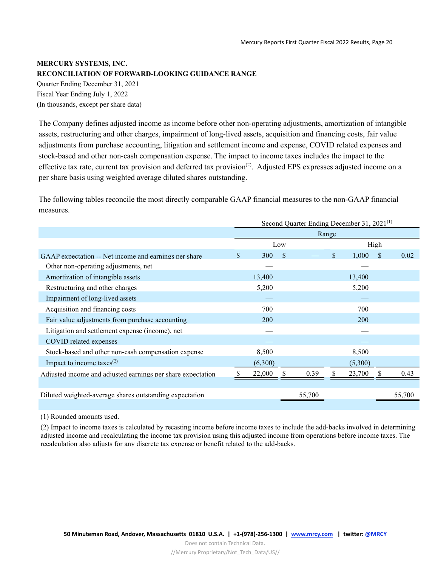## **MERCURY SYSTEMS, INC. RECONCILIATION OF FORWARD-LOOKING GUIDANCE RANGE**

Quarter Ending December 31, 2021 Fiscal Year Ending July 1, 2022 (In thousands, except per share data)

The Company defines adjusted income as income before other non-operating adjustments, amortization of intangible assets, restructuring and other charges, impairment of long-lived assets, acquisition and financing costs, fair value adjustments from purchase accounting, litigation and settlement income and expense, COVID related expenses and stock-based and other non-cash compensation expense. The impact to income taxes includes the impact to the effective tax rate, current tax provision and deferred tax provision<sup> $(2)$ </sup>. Adjusted EPS expresses adjusted income on a per share basis using weighted average diluted shares outstanding.

The following tables reconcile the most directly comparable GAAP financial measures to the non-GAAP financial measures.

|                                                             | Second Quarter Ending December 31, 2021 <sup>(1)</sup> |         |               |        |      |         |     |        |  |
|-------------------------------------------------------------|--------------------------------------------------------|---------|---------------|--------|------|---------|-----|--------|--|
|                                                             | Range                                                  |         |               |        |      |         |     |        |  |
|                                                             |                                                        |         | Low           |        | High |         |     |        |  |
| GAAP expectation -- Net income and earnings per share       | S.                                                     | 300     | $\mathbf{\$}$ |        | \$   | 1,000   | \$. | 0.02   |  |
| Other non-operating adjustments, net                        |                                                        |         |               |        |      |         |     |        |  |
| Amortization of intangible assets                           |                                                        | 13,400  |               |        |      | 13,400  |     |        |  |
| Restructuring and other charges                             |                                                        | 5,200   |               |        |      | 5,200   |     |        |  |
| Impairment of long-lived assets                             |                                                        |         |               |        |      |         |     |        |  |
| Acquisition and financing costs                             |                                                        | 700     |               |        |      | 700     |     |        |  |
| Fair value adjustments from purchase accounting             |                                                        | 200     |               |        |      | 200     |     |        |  |
| Litigation and settlement expense (income), net             |                                                        |         |               |        |      |         |     |        |  |
| COVID related expenses                                      |                                                        |         |               |        |      |         |     |        |  |
| Stock-based and other non-cash compensation expense         |                                                        | 8,500   |               |        |      | 8,500   |     |        |  |
| Impact to income taxes $^{(2)}$                             |                                                        | (6,300) |               |        |      | (5,300) |     |        |  |
| Adjusted income and adjusted earnings per share expectation |                                                        | 22,000  |               | 0.39   |      | 23,700  |     | 0.43   |  |
|                                                             |                                                        |         |               |        |      |         |     |        |  |
| Diluted weighted-average shares outstanding expectation     |                                                        |         |               | 55,700 |      |         |     | 55,700 |  |
|                                                             |                                                        |         |               |        |      |         |     |        |  |

(1) Rounded amounts used.

(2) Impact to income taxes is calculated by recasting income before income taxes to include the add-backs involved in determining adjusted income and recalculating the income tax provision using this adjusted income from operations before income taxes. The recalculation also adjusts for any discrete tax expense or benefit related to the add-backs.

**50 Minuteman Road, Andover, Massachusetts 01810 U.S.A. | +1-(978)-256-1300 | www.mrcy.com | twitter: @MRCY**